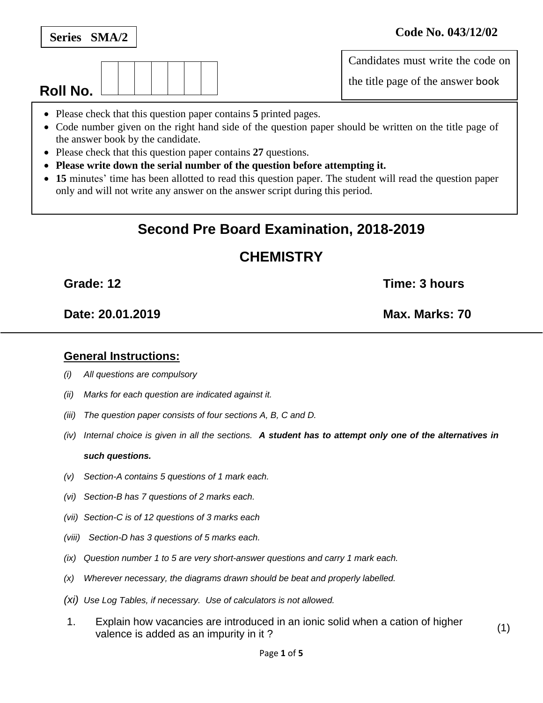

**Roll No.**

### **General Instructions:**

- *(i) All questions are compulsory*
- *(ii) Marks for each question are indicated against it.*
- *(iii) The question paper consists of four sections A, B, C and D.*
- *(iv) Internal choice is given in all the sections. A student has to attempt only one of the alternatives in such questions.*
- *(v) Section-A contains 5 questions of 1 mark each.*
- *(vi) Section-B has 7 questions of 2 marks each.*
- *(vii) Section-C is of 12 questions of 3 marks each*
- *(viii) Section-D has 3 questions of 5 marks each.*
- *(ix) Question number 1 to 5 are very short-answer questions and carry 1 mark each.*
- *(x) Wherever necessary, the diagrams drawn should be beat and properly labelled.*
- *(xi) Use Log Tables, if necessary. Use of calculators is not allowed.*
- 1. Explain how vacancies are introduced in an ionic solid when a cation of higher valence is added as an impurity in it?

## **Series SMA/2 Code No. 043/12/02**

Candidates must write the code on

the title page of the answer book

- Please check that this question paper contains **5** printed pages.
- Code number given on the right hand side of the question paper should be written on the title page of the answer book by the candidate.
- Please check that this question paper contains **27** questions.
- **Please write down the serial number of the question before attempting it.**
- **15** minutes' time has been allotted to read this question paper. The student will read the question paper only and will not write any answer on the answer script during this period.

# **Second Pre Board Examination, 2018-2019**

# **CHEMISTRY**

**Date: 20.01.2019 Max. Marks: 70**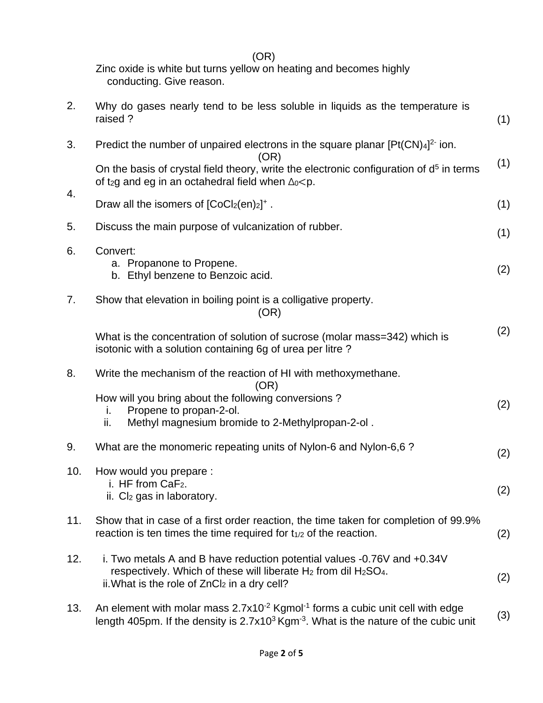(OR) Zinc oxide is white but turns yellow on heating and becomes highly conducting. Give reason.

| 2.  | Why do gases nearly tend to be less soluble in liquids as the temperature is<br>raised?                                                                                                              | (1) |
|-----|------------------------------------------------------------------------------------------------------------------------------------------------------------------------------------------------------|-----|
| 3.  | Predict the number of unpaired electrons in the square planar $[Pt(CN)4]^{2}$ ion.<br>(OR)                                                                                                           |     |
| 4.  | On the basis of crystal field theory, write the electronic configuration of $d5$ in terms<br>of t <sub>2</sub> g and eg in an octahedral field when $\Delta_0 < p$ .                                 | (1) |
|     | Draw all the isomers of $[CoCl2(en)2]$ <sup>+</sup> .                                                                                                                                                | (1) |
| 5.  | Discuss the main purpose of vulcanization of rubber.                                                                                                                                                 | (1) |
| 6.  | Convert:<br>a. Propanone to Propene.<br>b. Ethyl benzene to Benzoic acid.                                                                                                                            | (2) |
| 7.  | Show that elevation in boiling point is a colligative property.<br>(OR)                                                                                                                              |     |
|     | What is the concentration of solution of sucrose (molar mass=342) which is<br>isotonic with a solution containing 6g of urea per litre?                                                              | (2) |
| 8.  | Write the mechanism of the reaction of HI with methoxymethane.<br>(OR)                                                                                                                               |     |
|     | How will you bring about the following conversions?<br>Propene to propan-2-ol.<br>i.<br>Methyl magnesium bromide to 2-Methylpropan-2-ol.<br>ii.                                                      | (2) |
| 9.  | What are the monomeric repeating units of Nylon-6 and Nylon-6,6 ?                                                                                                                                    | (2) |
| 10. | How would you prepare :<br>i. HF from CaF <sub>2</sub> .<br>ii. $Cl2$ gas in laboratory.                                                                                                             | (2) |
| 11. | Show that in case of a first order reaction, the time taken for completion of 99.9%<br>reaction is ten times the time required for $t_{1/2}$ of the reaction.                                        | (2) |
| 12. | i. Two metals A and B have reduction potential values -0.76V and +0.34V<br>respectively. Which of these will liberate $H_2$ from dil $H_2SO_4$ .<br>ii. What is the role of $ZnCl2$ in a dry cell?   | (2) |
| 13. | An element with molar mass $2.7x10^{-2}$ Kgmol <sup>-1</sup> forms a cubic unit cell with edge<br>length 405pm. If the density is $2.7x103$ Kgm <sup>-3</sup> . What is the nature of the cubic unit | (3) |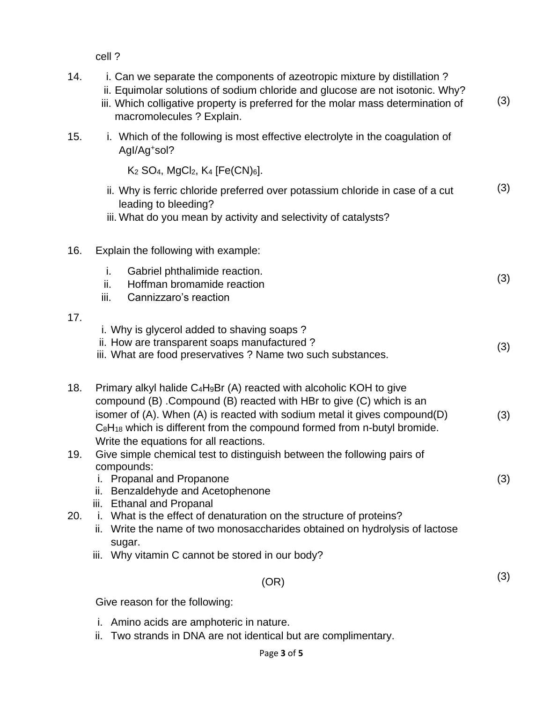cell ?

| 14. | i. Can we separate the components of azeotropic mixture by distillation?<br>ii. Equimolar solutions of sodium chloride and glucose are not isotonic. Why?<br>iii. Which colligative property is preferred for the molar mass determination of<br>macromolecules ? Explain.                                                                                                  | (3) |
|-----|-----------------------------------------------------------------------------------------------------------------------------------------------------------------------------------------------------------------------------------------------------------------------------------------------------------------------------------------------------------------------------|-----|
| 15. | i. Which of the following is most effective electrolyte in the coagulation of<br>Agl/Ag <sup>+</sup> sol?                                                                                                                                                                                                                                                                   |     |
|     | $K_2$ SO <sub>4</sub> , MgCl <sub>2</sub> , $K_4$ [Fe(CN) <sub>6</sub> ].                                                                                                                                                                                                                                                                                                   |     |
|     | ii. Why is ferric chloride preferred over potassium chloride in case of a cut<br>leading to bleeding?<br>iii. What do you mean by activity and selectivity of catalysts?                                                                                                                                                                                                    | (3) |
| 16. | Explain the following with example:                                                                                                                                                                                                                                                                                                                                         |     |
|     | i.<br>Gabriel phthalimide reaction.<br>ii.<br>Hoffman bromamide reaction<br>iii.<br>Cannizzaro's reaction                                                                                                                                                                                                                                                                   | (3) |
| 17. | i. Why is glycerol added to shaving soaps?<br>ii. How are transparent soaps manufactured?<br>iii. What are food preservatives ? Name two such substances.                                                                                                                                                                                                                   | (3) |
| 18. | Primary alkyl halide C <sub>4</sub> H <sub>9</sub> Br (A) reacted with alcoholic KOH to give<br>compound (B) .Compound (B) reacted with HBr to give (C) which is an<br>isomer of (A). When (A) is reacted with sodium metal it gives compound(D)<br>$C_8H_{18}$ which is different from the compound formed from n-butyl bromide.<br>Write the equations for all reactions. | (3) |
| 19. | Give simple chemical test to distinguish between the following pairs of<br>compounds:<br>i. Propanal and Propanone<br>ii. Benzaldehyde and Acetophenone                                                                                                                                                                                                                     | (3) |
| 20. | iii. Ethanal and Propanal<br>i. What is the effect of denaturation on the structure of proteins?<br>ii. Write the name of two monosaccharides obtained on hydrolysis of lactose<br>sugar.                                                                                                                                                                                   |     |
|     | iii. Why vitamin C cannot be stored in our body?                                                                                                                                                                                                                                                                                                                            |     |
|     | (OR)                                                                                                                                                                                                                                                                                                                                                                        | (3) |
|     | Give reason for the following:                                                                                                                                                                                                                                                                                                                                              |     |
|     |                                                                                                                                                                                                                                                                                                                                                                             |     |

- i. Amino acids are amphoteric in nature.
- ii. Two strands in DNA are not identical but are complimentary.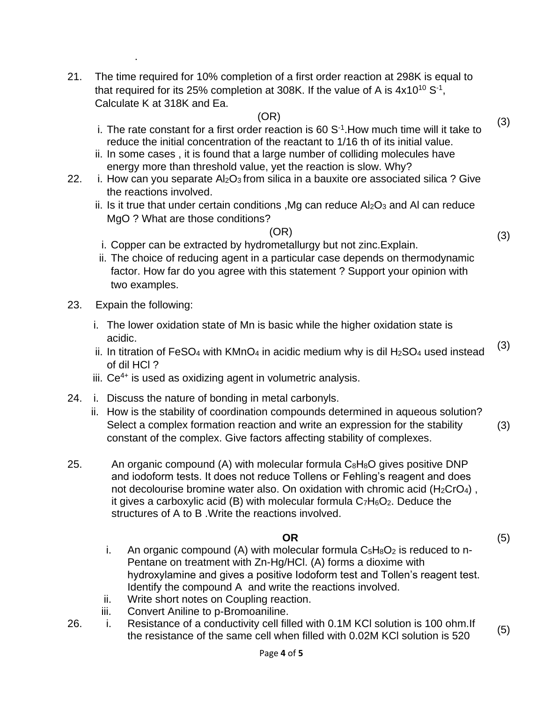21. The time required for 10% completion of a first order reaction at 298K is equal to that required for its 25% completion at 308K. If the value of A is  $4x10^{10} S^{-1}$ , Calculate K at 318K and Ea.

### (OR)

- i. The rate constant for a first order reaction is  $60 S<sup>-1</sup>$ . How much time will it take to reduce the initial concentration of the reactant to 1/16 th of its initial value.
- ii. In some cases , it is found that a large number of colliding molecules have energy more than threshold value, yet the reaction is slow. Why?
- 22. i. How can you separate  $Al_2O_3$  from silica in a bauxite ore associated silica ? Give the reactions involved.
	- ii. Is it true that under certain conditions , Mg can reduce  $Al_2O_3$  and AI can reduce MgO ? What are those conditions?

#### (OR)

- i. Copper can be extracted by hydrometallurgy but not zinc.Explain.
- ii. The choice of reducing agent in a particular case depends on thermodynamic factor. How far do you agree with this statement ? Support your opinion with two examples.
- 23. Expain the following:

.

- i. The lower oxidation state of Mn is basic while the higher oxidation state is acidic.
- ii. In titration of FeSO<sub>4</sub> with KMnO<sub>4</sub> in acidic medium why is dil H<sub>2</sub>SO<sub>4</sub> used instead of dil HCl ? (3)
- $iii. Ce<sup>4+</sup>$  is used as oxidizing agent in volumetric analysis.
- 24. i. Discuss the nature of bonding in metal carbonyls.
	- ii. How is the stability of coordination compounds determined in aqueous solution? Select a complex formation reaction and write an expression for the stability constant of the complex. Give factors affecting stability of complexes. (3)
- 25. An organic compound (A) with molecular formula  $C_8H_8O$  gives positive DNP and iodoform tests. It does not reduce Tollens or Fehling's reagent and does not decolourise bromine water also. On oxidation with chromic acid ( $H_2CrO_4$ ), it gives a carboxylic acid (B) with molecular formula  $C_7H_6O_2$ . Deduce the structures of A to B .Write the reactions involved.

### **OR**

- i. An organic compound (A) with molecular formula  $C_5H_8O_2$  is reduced to n-Pentane on treatment with Zn-Hg/HCl. (A) forms a dioxime with hydroxylamine and gives a positive Iodoform test and Tollen's reagent test. Identify the compound A and write the reactions involved.
- ii. Write short notes on Coupling reaction.
- iii. Convert Aniline to p-Bromoaniline.
- 26. i. Resistance of a conductivity cell filled with 0.1M KCl solution is 100 ohm.If the resistance of a conductivity cell lined with 0.1M KCl solution is 100 cmm. (5)<br>the resistance of the same cell when filled with 0.02M KCl solution is 520

(3)

(3)

(5)